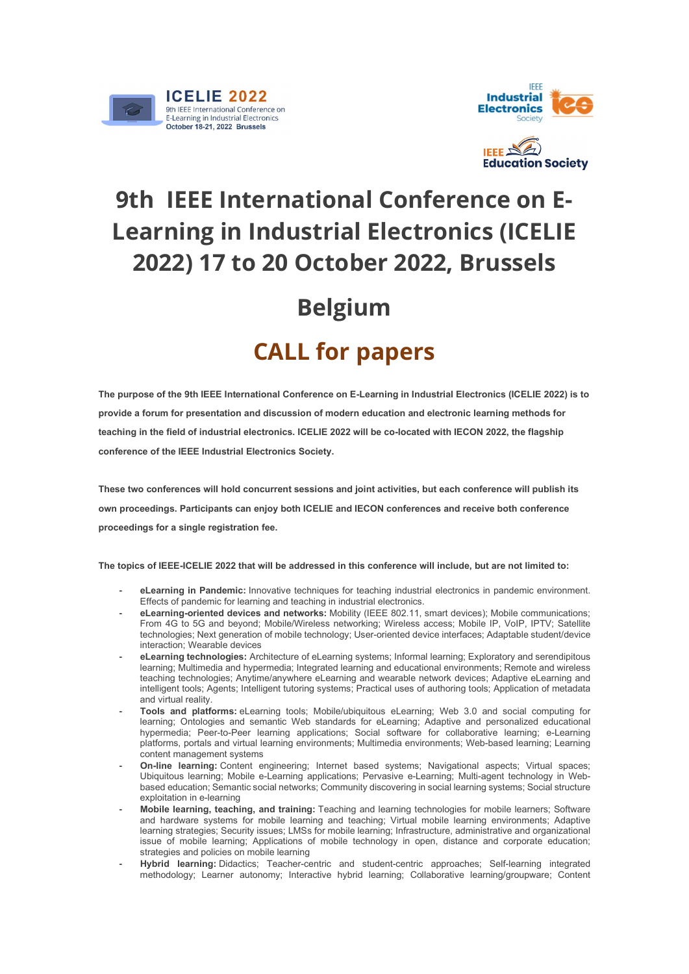



## 9th IEEE International Conference on E-Learning in Industrial Electronics (ICELIE 2022) 17 to 20 October 2022, Brussels

## Belgium

## CALL for papers

The purpose of the 9th IEEE International Conference on E-Learning in Industrial Electronics (ICELIE 2022) is to provide a forum for presentation and discussion of modern education and electronic learning methods for teaching in the field of industrial electronics. ICELIE 2022 will be co-located with IECON 2022, the flagship conference of the IEEE Industrial Electronics Society.

These two conferences will hold concurrent sessions and joint activities, but each conference will publish its own proceedings. Participants can enjoy both ICELIE and IECON conferences and receive both conference proceedings for a single registration fee.

The topics of IEEE-ICELIE 2022 that will be addressed in this conference will include, but are not limited to:

- eLearning in Pandemic: Innovative techniques for teaching industrial electronics in pandemic environment. Effects of pandemic for learning and teaching in industrial electronics.
- eLearning-oriented devices and networks: Mobility (IEEE 802.11, smart devices); Mobile communications; From 4G to 5G and beyond; Mobile/Wireless networking; Wireless access; Mobile IP, VoIP, IPTV; Satellite technologies; Next generation of mobile technology; User-oriented device interfaces; Adaptable student/device interaction; Wearable devices
- eLearning technologies: Architecture of eLearning systems; Informal learning; Exploratory and serendipitous learning; Multimedia and hypermedia; Integrated learning and educational environments; Remote and wireless teaching technologies; Anytime/anywhere eLearning and wearable network devices; Adaptive eLearning and intelligent tools; Agents; Intelligent tutoring systems; Practical uses of authoring tools; Application of metadata and virtual reality.
- Tools and platforms: eLearning tools; Mobile/ubiquitous eLearning; Web 3.0 and social computing for learning; Ontologies and semantic Web standards for eLearning; Adaptive and personalized educational hypermedia; Peer-to-Peer learning applications; Social software for collaborative learning; e-Learning platforms, portals and virtual learning environments; Multimedia environments; Web-based learning; Learning content management systems
- On-line learning: Content engineering; Internet based systems; Navigational aspects; Virtual spaces; Ubiquitous learning; Mobile e-Learning applications; Pervasive e-Learning; Multi-agent technology in Webbased education; Semantic social networks; Community discovering in social learning systems; Social structure exploitation in e-learning
- Mobile learning, teaching, and training: Teaching and learning technologies for mobile learners; Software and hardware systems for mobile learning and teaching; Virtual mobile learning environments; Adaptive learning strategies; Security issues; LMSs for mobile learning; Infrastructure, administrative and organizational issue of mobile learning; Applications of mobile technology in open, distance and corporate education; strategies and policies on mobile learning
- Hybrid learning: Didactics; Teacher-centric and student-centric approaches; Self-learning integrated methodology; Learner autonomy; Interactive hybrid learning; Collaborative learning/groupware; Content